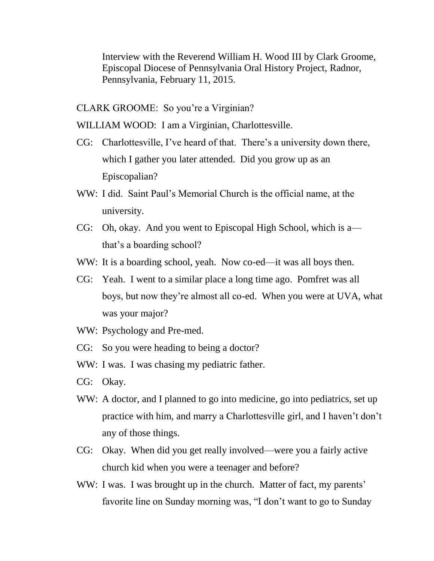Interview with the Reverend William H. Wood III by Clark Groome, Episcopal Diocese of Pennsylvania Oral History Project, Radnor, Pennsylvania, February 11, 2015.

CLARK GROOME: So you're a Virginian?

WILLIAM WOOD: I am a Virginian, Charlottesville.

- CG: Charlottesville, I've heard of that. There's a university down there, which I gather you later attended. Did you grow up as an Episcopalian?
- WW: I did. Saint Paul's Memorial Church is the official name, at the university.
- CG: Oh, okay. And you went to Episcopal High School, which is a that's a boarding school?
- WW: It is a boarding school, yeah. Now co-ed—it was all boys then.
- CG: Yeah. I went to a similar place a long time ago. Pomfret was all boys, but now they're almost all co-ed. When you were at UVA, what was your major?
- WW: Psychology and Pre-med.
- CG: So you were heading to being a doctor?
- WW: I was. I was chasing my pediatric father.
- CG: Okay.
- WW: A doctor, and I planned to go into medicine, go into pediatrics, set up practice with him, and marry a Charlottesville girl, and I haven't don't any of those things.
- CG: Okay. When did you get really involved—were you a fairly active church kid when you were a teenager and before?
- WW: I was. I was brought up in the church. Matter of fact, my parents' favorite line on Sunday morning was, "I don't want to go to Sunday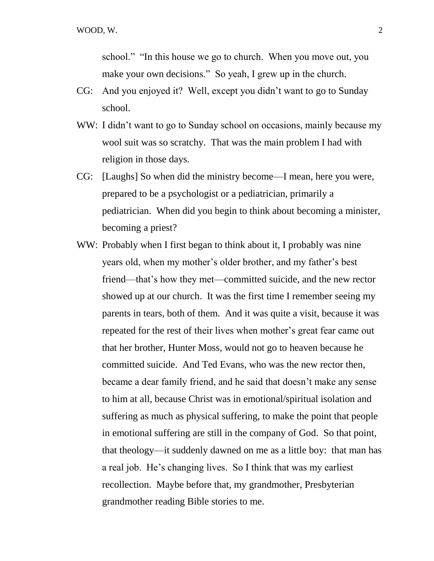school." "In this house we go to church. When you move out, you make your own decisions." So yeah, I grew up in the church.

- CG: And you enjoyed it? Well, except you didn't want to go to Sunday school.
- WW: I didn't want to go to Sunday school on occasions, mainly because my wool suit was so scratchy. That was the main problem I had with religion in those days.
- CG: [Laughs] So when did the ministry become—I mean, here you were, prepared to be a psychologist or a pediatrician, primarily a pediatrician. When did you begin to think about becoming a minister, becoming a priest?
- WW: Probably when I first began to think about it, I probably was nine years old, when my mother's older brother, and my father's best friend—that's how they met—committed suicide, and the new rector showed up at our church. It was the first time I remember seeing my parents in tears, both of them. And it was quite a visit, because it was repeated for the rest of their lives when mother's great fear came out that her brother, Hunter Moss, would not go to heaven because he committed suicide. And Ted Evans, who was the new rector then, became a dear family friend, and he said that doesn't make any sense to him at all, because Christ was in emotional/spiritual isolation and suffering as much as physical suffering, to make the point that people in emotional suffering are still in the company of God. So that point, that theology—it suddenly dawned on me as a little boy: that man has a real job. He's changing lives. So I think that was my earliest recollection. Maybe before that, my grandmother, Presbyterian grandmother reading Bible stories to me.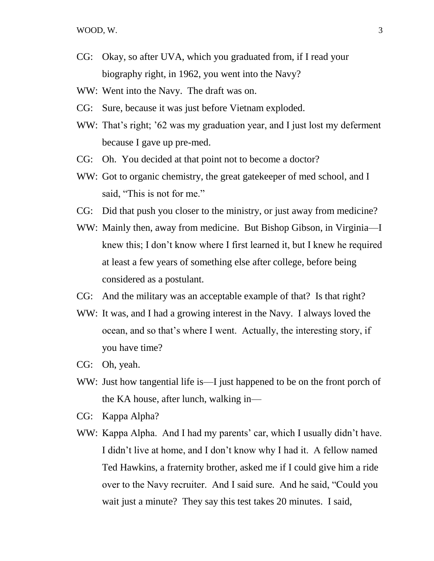- CG: Okay, so after UVA, which you graduated from, if I read your biography right, in 1962, you went into the Navy?
- WW: Went into the Navy. The draft was on.
- CG: Sure, because it was just before Vietnam exploded.
- WW: That's right; '62 was my graduation year, and I just lost my deferment because I gave up pre-med.
- CG: Oh. You decided at that point not to become a doctor?
- WW: Got to organic chemistry, the great gate keeper of med school, and I said, "This is not for me."
- CG: Did that push you closer to the ministry, or just away from medicine?
- WW: Mainly then, away from medicine. But Bishop Gibson, in Virginia—I knew this; I don't know where I first learned it, but I knew he required at least a few years of something else after college, before being considered as a postulant.
- CG: And the military was an acceptable example of that? Is that right?
- WW: It was, and I had a growing interest in the Navy. I always loved the ocean, and so that's where I went. Actually, the interesting story, if you have time?
- CG: Oh, yeah.
- WW: Just how tangential life is—I just happened to be on the front porch of the KA house, after lunch, walking in—
- CG: Kappa Alpha?
- WW: Kappa Alpha. And I had my parents' car, which I usually didn't have. I didn't live at home, and I don't know why I had it. A fellow named Ted Hawkins, a fraternity brother, asked me if I could give him a ride over to the Navy recruiter. And I said sure. And he said, "Could you wait just a minute? They say this test takes 20 minutes. I said,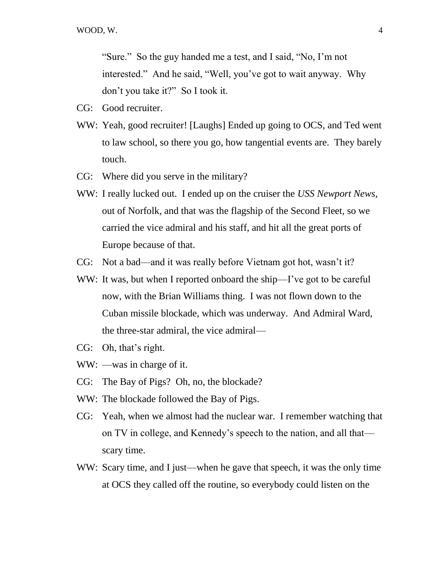"Sure." So the guy handed me a test, and I said, "No, I'm not interested." And he said, "Well, you've got to wait anyway. Why don't you take it?" So I took it.

- CG: Good recruiter.
- WW: Yeah, good recruiter! [Laughs] Ended up going to OCS, and Ted went to law school, so there you go, how tangential events are. They barely touch.
- CG: Where did you serve in the military?
- WW: I really lucked out. I ended up on the cruiser the *USS Newport News*, out of Norfolk, and that was the flagship of the Second Fleet, so we carried the vice admiral and his staff, and hit all the great ports of Europe because of that.
- CG: Not a bad—and it was really before Vietnam got hot, wasn't it?
- WW: It was, but when I reported onboard the ship—I've got to be careful now, with the Brian Williams thing. I was not flown down to the Cuban missile blockade, which was underway. And Admiral Ward, the three-star admiral, the vice admiral—
- CG: Oh, that's right.
- WW: —was in charge of it.
- CG: The Bay of Pigs? Oh, no, the blockade?
- WW: The blockade followed the Bay of Pigs.
- CG: Yeah, when we almost had the nuclear war. I remember watching that on TV in college, and Kennedy's speech to the nation, and all that scary time.
- WW: Scary time, and I just—when he gave that speech, it was the only time at OCS they called off the routine, so everybody could listen on the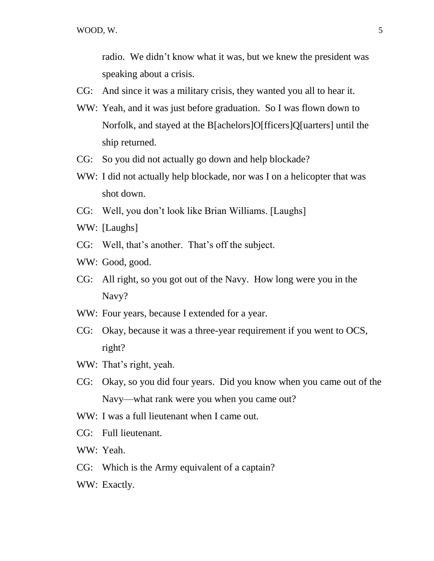radio. We didn't know what it was, but we knew the president was speaking about a crisis.

- CG: And since it was a military crisis, they wanted you all to hear it.
- WW: Yeah, and it was just before graduation. So I was flown down to Norfolk, and stayed at the B[achelors]O[fficers]Q[uarters] until the ship returned.
- CG: So you did not actually go down and help blockade?
- WW: I did not actually help blockade, nor was I on a helicopter that was shot down.
- CG: Well, you don't look like Brian Williams. [Laughs]
- WW: [Laughs]
- CG: Well, that's another. That's off the subject.
- WW: Good, good.
- CG: All right, so you got out of the Navy. How long were you in the Navy?
- WW: Four years, because I extended for a year.
- CG: Okay, because it was a three-year requirement if you went to OCS, right?
- WW: That's right, yeah.
- CG: Okay, so you did four years. Did you know when you came out of the Navy—what rank were you when you came out?
- WW: I was a full lieutenant when I came out.
- CG: Full lieutenant.
- WW: Yeah.
- CG: Which is the Army equivalent of a captain?
- WW: Exactly.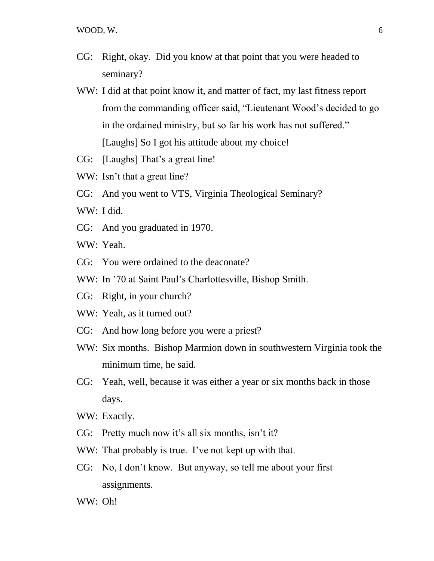- CG: Right, okay. Did you know at that point that you were headed to seminary?
- WW: I did at that point know it, and matter of fact, my last fitness report from the commanding officer said, "Lieutenant Wood's decided to go in the ordained ministry, but so far his work has not suffered." [Laughs] So I got his attitude about my choice!
- CG: [Laughs] That's a great line!
- WW: Isn't that a great line?
- CG: And you went to VTS, Virginia Theological Seminary?
- WW: I did.
- CG: And you graduated in 1970.

WW: Yeah.

- CG: You were ordained to the deaconate?
- WW: In '70 at Saint Paul's Charlottesville, Bishop Smith.
- CG: Right, in your church?
- WW: Yeah, as it turned out?
- CG: And how long before you were a priest?
- WW: Six months. Bishop Marmion down in southwestern Virginia took the minimum time, he said.
- CG: Yeah, well, because it was either a year or six months back in those days.
- WW: Exactly.
- CG: Pretty much now it's all six months, isn't it?
- WW: That probably is true. I've not kept up with that.
- CG: No, I don't know. But anyway, so tell me about your first assignments.

WW: Oh!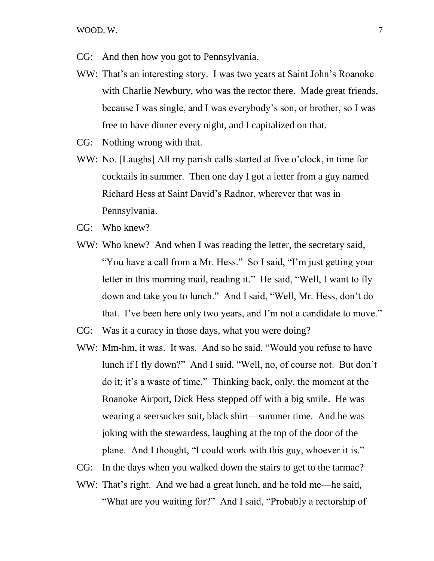- CG: And then how you got to Pennsylvania.
- WW: That's an interesting story. I was two years at Saint John's Roanoke with Charlie Newbury, who was the rector there. Made great friends, because I was single, and I was everybody's son, or brother, so I was free to have dinner every night, and I capitalized on that.
- CG: Nothing wrong with that.
- WW: No. [Laughs] All my parish calls started at five o'clock, in time for cocktails in summer. Then one day I got a letter from a guy named Richard Hess at Saint David's Radnor, wherever that was in Pennsylvania.
- CG: Who knew?
- WW: Who knew? And when I was reading the letter, the secretary said, "You have a call from a Mr. Hess." So I said, "I'm just getting your letter in this morning mail, reading it." He said, "Well, I want to fly down and take you to lunch." And I said, "Well, Mr. Hess, don't do that. I've been here only two years, and I'm not a candidate to move."
- CG: Was it a curacy in those days, what you were doing?
- WW: Mm-hm, it was. It was. And so he said, "Would you refuse to have lunch if I fly down?" And I said, "Well, no, of course not. But don't do it; it's a waste of time." Thinking back, only, the moment at the Roanoke Airport, Dick Hess stepped off with a big smile. He was wearing a seersucker suit, black shirt—summer time. And he was joking with the stewardess, laughing at the top of the door of the plane. And I thought, "I could work with this guy, whoever it is."
- CG: In the days when you walked down the stairs to get to the tarmac?
- WW: That's right. And we had a great lunch, and he told me—he said, "What are you waiting for?" And I said, "Probably a rectorship of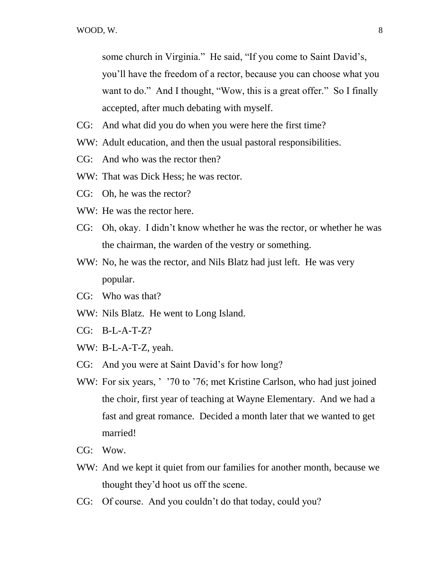some church in Virginia." He said, "If you come to Saint David's, you'll have the freedom of a rector, because you can choose what you want to do." And I thought, "Wow, this is a great offer." So I finally accepted, after much debating with myself.

- CG: And what did you do when you were here the first time?
- WW: Adult education, and then the usual pastoral responsibilities.
- CG: And who was the rector then?
- WW: That was Dick Hess; he was rector.
- CG: Oh, he was the rector?
- WW: He was the rector here.
- CG: Oh, okay. I didn't know whether he was the rector, or whether he was the chairman, the warden of the vestry or something.
- WW: No, he was the rector, and Nils Blatz had just left. He was very popular.
- CG: Who was that?
- WW: Nils Blatz. He went to Long Island.
- CG: B-L-A-T-Z?
- WW: B-L-A-T-Z, yeah.
- CG: And you were at Saint David's for how long?
- WW: For six years, ' '70 to '76; met Kristine Carlson, who had just joined the choir, first year of teaching at Wayne Elementary. And we had a fast and great romance. Decided a month later that we wanted to get married!
- CG: Wow.
- WW: And we kept it quiet from our families for another month, because we thought they'd hoot us off the scene.
- CG: Of course. And you couldn't do that today, could you?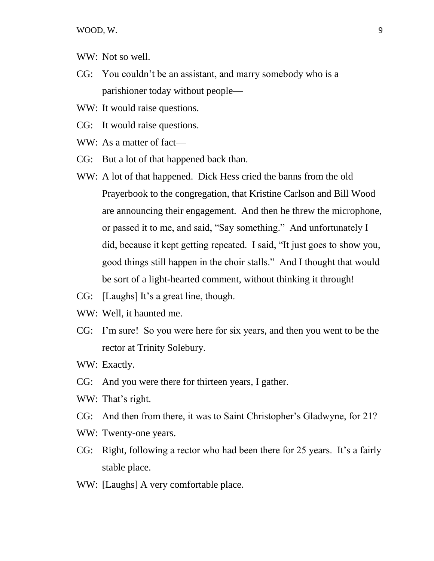WOOD, W. 9

- WW: Not so well.
- CG: You couldn't be an assistant, and marry somebody who is a parishioner today without people—
- WW: It would raise questions.
- CG: It would raise questions.
- WW: As a matter of fact—
- CG: But a lot of that happened back than.
- WW: A lot of that happened. Dick Hess cried the banns from the old Prayerbook to the congregation, that Kristine Carlson and Bill Wood are announcing their engagement. And then he threw the microphone, or passed it to me, and said, "Say something." And unfortunately I did, because it kept getting repeated. I said, "It just goes to show you, good things still happen in the choir stalls." And I thought that would be sort of a light-hearted comment, without thinking it through!
- CG: [Laughs] It's a great line, though.
- WW: Well, it haunted me.
- CG: I'm sure! So you were here for six years, and then you went to be the rector at Trinity Solebury.
- WW: Exactly.
- CG: And you were there for thirteen years, I gather.
- WW: That's right.
- CG: And then from there, it was to Saint Christopher's Gladwyne, for 21?
- WW: Twenty-one years.
- CG: Right, following a rector who had been there for 25 years. It's a fairly stable place.
- WW: [Laughs] A very comfortable place.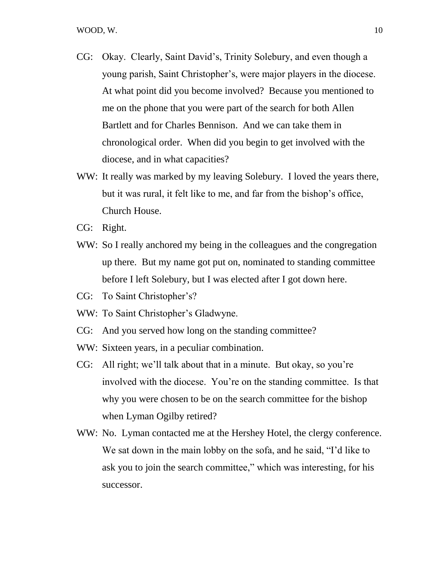- CG: Okay. Clearly, Saint David's, Trinity Solebury, and even though a young parish, Saint Christopher's, were major players in the diocese. At what point did you become involved? Because you mentioned to me on the phone that you were part of the search for both Allen Bartlett and for Charles Bennison. And we can take them in chronological order. When did you begin to get involved with the diocese, and in what capacities?
- WW: It really was marked by my leaving Solebury. I loved the years there, but it was rural, it felt like to me, and far from the bishop's office, Church House.
- CG: Right.
- WW: So I really anchored my being in the colleagues and the congregation up there. But my name got put on, nominated to standing committee before I left Solebury, but I was elected after I got down here.
- CG: To Saint Christopher's?
- WW: To Saint Christopher's Gladwyne.
- CG: And you served how long on the standing committee?
- WW: Sixteen years, in a peculiar combination.
- CG: All right; we'll talk about that in a minute. But okay, so you're involved with the diocese. You're on the standing committee. Is that why you were chosen to be on the search committee for the bishop when Lyman Ogilby retired?
- WW: No. Lyman contacted me at the Hershey Hotel, the clergy conference. We sat down in the main lobby on the sofa, and he said, "I'd like to ask you to join the search committee," which was interesting, for his successor.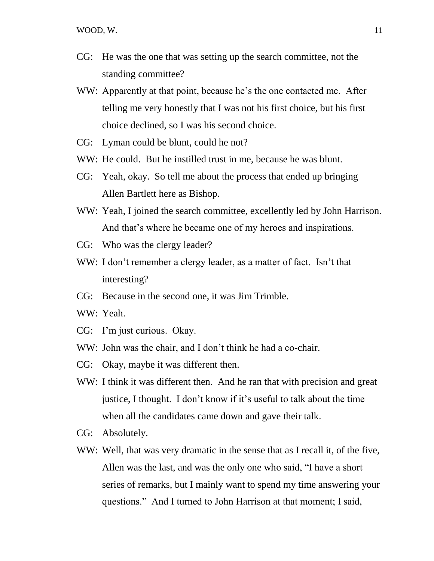- CG: He was the one that was setting up the search committee, not the standing committee?
- WW: Apparently at that point, because he's the one contacted me. After telling me very honestly that I was not his first choice, but his first choice declined, so I was his second choice.
- CG: Lyman could be blunt, could he not?
- WW: He could. But he instilled trust in me, because he was blunt.
- CG: Yeah, okay. So tell me about the process that ended up bringing Allen Bartlett here as Bishop.
- WW: Yeah, I joined the search committee, excellently led by John Harrison. And that's where he became one of my heroes and inspirations.
- CG: Who was the clergy leader?
- WW: I don't remember a clergy leader, as a matter of fact. Isn't that interesting?
- CG: Because in the second one, it was Jim Trimble.
- WW: Yeah.
- CG: I'm just curious. Okay.
- WW: John was the chair, and I don't think he had a co-chair.
- CG: Okay, maybe it was different then.
- WW: I think it was different then. And he ran that with precision and great justice, I thought. I don't know if it's useful to talk about the time when all the candidates came down and gave their talk.
- CG: Absolutely.
- WW: Well, that was very dramatic in the sense that as I recall it, of the five, Allen was the last, and was the only one who said, "I have a short series of remarks, but I mainly want to spend my time answering your questions." And I turned to John Harrison at that moment; I said,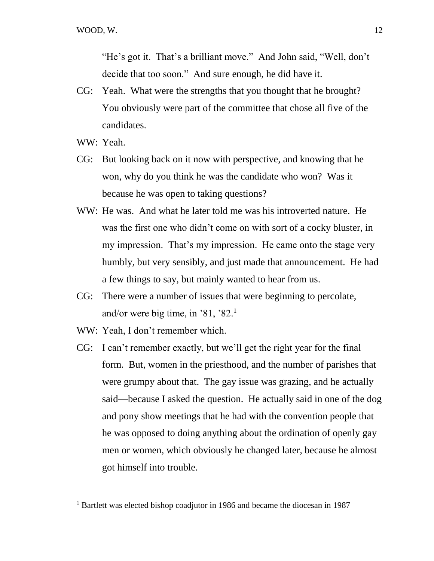"He's got it. That's a brilliant move." And John said, "Well, don't decide that too soon." And sure enough, he did have it.

- CG: Yeah. What were the strengths that you thought that he brought? You obviously were part of the committee that chose all five of the candidates.
- WW: Yeah.

 $\overline{a}$ 

- CG: But looking back on it now with perspective, and knowing that he won, why do you think he was the candidate who won? Was it because he was open to taking questions?
- WW: He was. And what he later told me was his introverted nature. He was the first one who didn't come on with sort of a cocky bluster, in my impression. That's my impression. He came onto the stage very humbly, but very sensibly, and just made that announcement. He had a few things to say, but mainly wanted to hear from us.
- CG: There were a number of issues that were beginning to percolate, and/or were big time, in  $\,$  81,  $\,$  82.<sup>1</sup>
- WW: Yeah, I don't remember which.
- CG: I can't remember exactly, but we'll get the right year for the final form. But, women in the priesthood, and the number of parishes that were grumpy about that. The gay issue was grazing, and he actually said—because I asked the question. He actually said in one of the dog and pony show meetings that he had with the convention people that he was opposed to doing anything about the ordination of openly gay men or women, which obviously he changed later, because he almost got himself into trouble.

 $1$  Bartlett was elected bishop coadjutor in 1986 and became the diocesan in 1987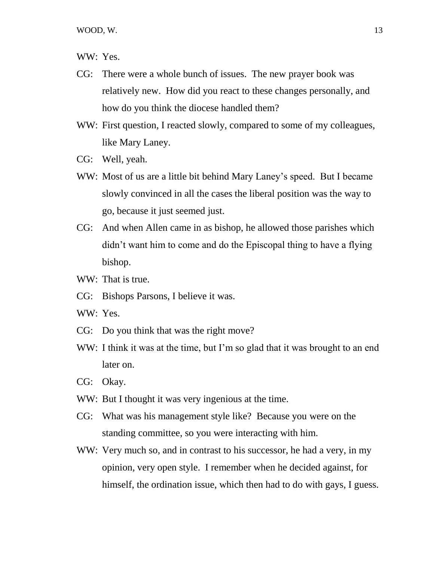WW: Yes.

- CG: There were a whole bunch of issues. The new prayer book was relatively new. How did you react to these changes personally, and how do you think the diocese handled them?
- WW: First question, I reacted slowly, compared to some of my colleagues, like Mary Laney.
- CG: Well, yeah.
- WW: Most of us are a little bit behind Mary Laney's speed. But I became slowly convinced in all the cases the liberal position was the way to go, because it just seemed just.
- CG: And when Allen came in as bishop, he allowed those parishes which didn't want him to come and do the Episcopal thing to have a flying bishop.
- WW: That is true.
- CG: Bishops Parsons, I believe it was.
- WW: Yes.
- CG: Do you think that was the right move?
- WW: I think it was at the time, but I'm so glad that it was brought to an end later on.
- CG: Okay.
- WW: But I thought it was very ingenious at the time.
- CG: What was his management style like? Because you were on the standing committee, so you were interacting with him.
- WW: Very much so, and in contrast to his successor, he had a very, in my opinion, very open style. I remember when he decided against, for himself, the ordination issue, which then had to do with gays, I guess.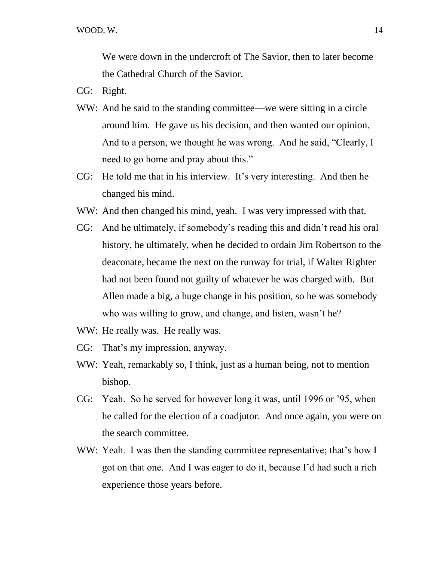We were down in the undercroft of The Savior, then to later become the Cathedral Church of the Savior.

- CG: Right.
- WW: And he said to the standing committee—we were sitting in a circle around him. He gave us his decision, and then wanted our opinion. And to a person, we thought he was wrong. And he said, "Clearly, I need to go home and pray about this."
- CG: He told me that in his interview. It's very interesting. And then he changed his mind.
- WW: And then changed his mind, yeah. I was very impressed with that.
- CG: And he ultimately, if somebody's reading this and didn't read his oral history, he ultimately, when he decided to ordain Jim Robertson to the deaconate, became the next on the runway for trial, if Walter Righter had not been found not guilty of whatever he was charged with. But Allen made a big, a huge change in his position, so he was somebody who was willing to grow, and change, and listen, wasn't he?
- WW: He really was. He really was.
- CG: That's my impression, anyway.
- WW: Yeah, remarkably so, I think, just as a human being, not to mention bishop.
- CG: Yeah. So he served for however long it was, until 1996 or '95, when he called for the election of a coadjutor. And once again, you were on the search committee.
- WW: Yeah. I was then the standing committee representative; that's how I got on that one. And I was eager to do it, because I'd had such a rich experience those years before.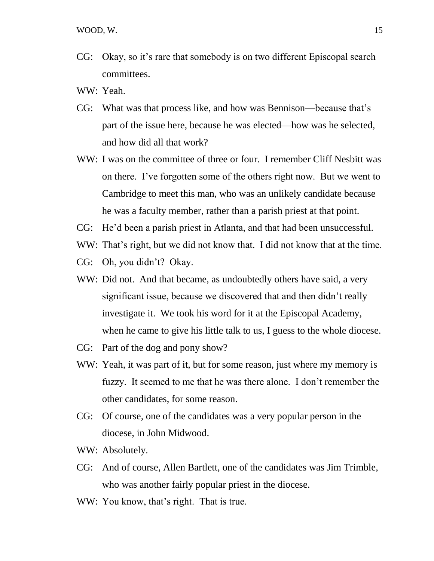- CG: Okay, so it's rare that somebody is on two different Episcopal search committees.
- WW: Yeah.
- CG: What was that process like, and how was Bennison—because that's part of the issue here, because he was elected—how was he selected, and how did all that work?
- WW: I was on the committee of three or four. I remember Cliff Nesbitt was on there. I've forgotten some of the others right now. But we went to Cambridge to meet this man, who was an unlikely candidate because he was a faculty member, rather than a parish priest at that point.
- CG: He'd been a parish priest in Atlanta, and that had been unsuccessful.
- WW: That's right, but we did not know that. I did not know that at the time.
- CG: Oh, you didn't? Okay.
- WW: Did not. And that became, as undoubtedly others have said, a very significant issue, because we discovered that and then didn't really investigate it. We took his word for it at the Episcopal Academy, when he came to give his little talk to us, I guess to the whole diocese.
- CG: Part of the dog and pony show?
- WW: Yeah, it was part of it, but for some reason, just where my memory is fuzzy. It seemed to me that he was there alone. I don't remember the other candidates, for some reason.
- CG: Of course, one of the candidates was a very popular person in the diocese, in John Midwood.
- WW: Absolutely.
- CG: And of course, Allen Bartlett, one of the candidates was Jim Trimble, who was another fairly popular priest in the diocese.
- WW: You know, that's right. That is true.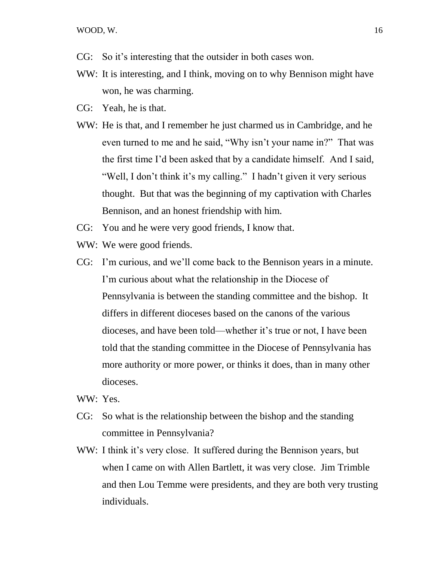WOOD, W. 16

- CG: So it's interesting that the outsider in both cases won.
- WW: It is interesting, and I think, moving on to why Bennison might have won, he was charming.
- CG: Yeah, he is that.
- WW: He is that, and I remember he just charmed us in Cambridge, and he even turned to me and he said, "Why isn't your name in?" That was the first time I'd been asked that by a candidate himself. And I said, "Well, I don't think it's my calling." I hadn't given it very serious thought. But that was the beginning of my captivation with Charles Bennison, and an honest friendship with him.
- CG: You and he were very good friends, I know that.
- WW: We were good friends.
- CG: I'm curious, and we'll come back to the Bennison years in a minute. I'm curious about what the relationship in the Diocese of Pennsylvania is between the standing committee and the bishop. It differs in different dioceses based on the canons of the various dioceses, and have been told—whether it's true or not, I have been told that the standing committee in the Diocese of Pennsylvania has more authority or more power, or thinks it does, than in many other dioceses.

WW: Yes.

- CG: So what is the relationship between the bishop and the standing committee in Pennsylvania?
- WW: I think it's very close. It suffered during the Bennison years, but when I came on with Allen Bartlett, it was very close. Jim Trimble and then Lou Temme were presidents, and they are both very trusting individuals.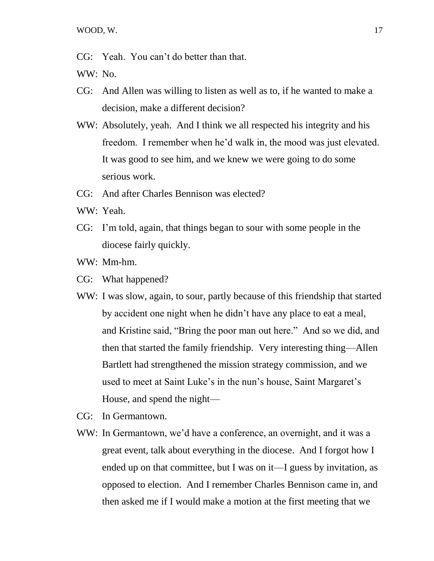CG: Yeah. You can't do better than that.

WW: No.

- CG: And Allen was willing to listen as well as to, if he wanted to make a decision, make a different decision?
- WW: Absolutely, yeah. And I think we all respected his integrity and his freedom. I remember when he'd walk in, the mood was just elevated. It was good to see him, and we knew we were going to do some serious work.
- CG: And after Charles Bennison was elected?
- WW: Yeah.
- CG: I'm told, again, that things began to sour with some people in the diocese fairly quickly.
- WW: Mm-hm.
- CG: What happened?
- WW: I was slow, again, to sour, partly because of this friendship that started by accident one night when he didn't have any place to eat a meal, and Kristine said, "Bring the poor man out here." And so we did, and then that started the family friendship. Very interesting thing—Allen Bartlett had strengthened the mission strategy commission, and we used to meet at Saint Luke's in the nun's house, Saint Margaret's House, and spend the night—
- CG: In Germantown.
- WW: In Germantown, we'd have a conference, an overnight, and it was a great event, talk about everything in the diocese. And I forgot how I ended up on that committee, but I was on it—I guess by invitation, as opposed to election. And I remember Charles Bennison came in, and then asked me if I would make a motion at the first meeting that we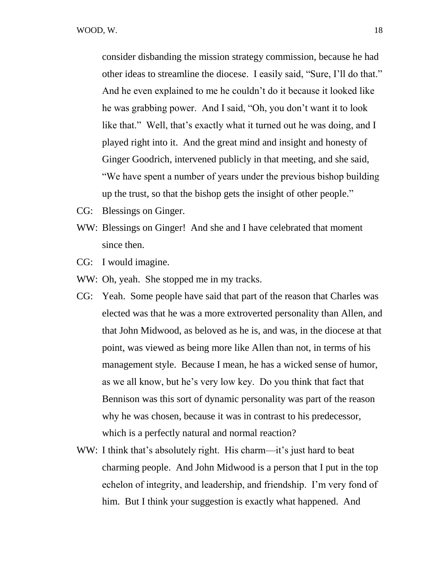consider disbanding the mission strategy commission, because he had other ideas to streamline the diocese. I easily said, "Sure, I'll do that." And he even explained to me he couldn't do it because it looked like he was grabbing power. And I said, "Oh, you don't want it to look like that." Well, that's exactly what it turned out he was doing, and I played right into it. And the great mind and insight and honesty of Ginger Goodrich, intervened publicly in that meeting, and she said, "We have spent a number of years under the previous bishop building up the trust, so that the bishop gets the insight of other people."

- CG: Blessings on Ginger.
- WW: Blessings on Ginger! And she and I have celebrated that moment since then.
- CG: I would imagine.
- WW: Oh, yeah. She stopped me in my tracks.
- CG: Yeah. Some people have said that part of the reason that Charles was elected was that he was a more extroverted personality than Allen, and that John Midwood, as beloved as he is, and was, in the diocese at that point, was viewed as being more like Allen than not, in terms of his management style. Because I mean, he has a wicked sense of humor, as we all know, but he's very low key. Do you think that fact that Bennison was this sort of dynamic personality was part of the reason why he was chosen, because it was in contrast to his predecessor, which is a perfectly natural and normal reaction?
- WW: I think that's absolutely right. His charm—it's just hard to beat charming people. And John Midwood is a person that I put in the top echelon of integrity, and leadership, and friendship. I'm very fond of him. But I think your suggestion is exactly what happened. And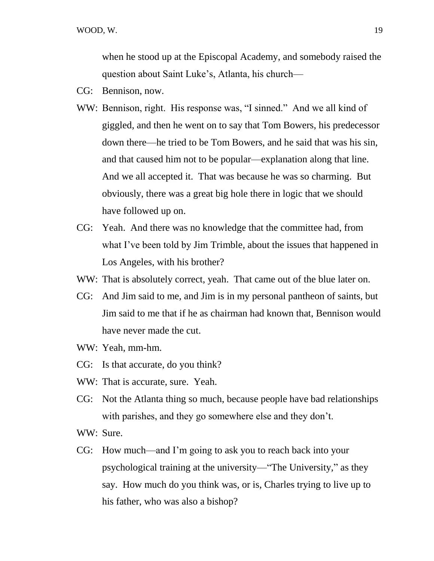when he stood up at the Episcopal Academy, and somebody raised the question about Saint Luke's, Atlanta, his church—

- CG: Bennison, now.
- WW: Bennison, right. His response was, "I sinned." And we all kind of giggled, and then he went on to say that Tom Bowers, his predecessor down there—he tried to be Tom Bowers, and he said that was his sin, and that caused him not to be popular—explanation along that line. And we all accepted it. That was because he was so charming. But obviously, there was a great big hole there in logic that we should have followed up on.
- CG: Yeah. And there was no knowledge that the committee had, from what I've been told by Jim Trimble, about the issues that happened in Los Angeles, with his brother?
- WW: That is absolutely correct, yeah. That came out of the blue later on.
- CG: And Jim said to me, and Jim is in my personal pantheon of saints, but Jim said to me that if he as chairman had known that, Bennison would have never made the cut.
- WW: Yeah, mm-hm.
- CG: Is that accurate, do you think?
- WW: That is accurate, sure. Yeah.
- CG: Not the Atlanta thing so much, because people have bad relationships with parishes, and they go somewhere else and they don't.
- WW: Sure.
- CG: How much—and I'm going to ask you to reach back into your psychological training at the university—"The University," as they say. How much do you think was, or is, Charles trying to live up to his father, who was also a bishop?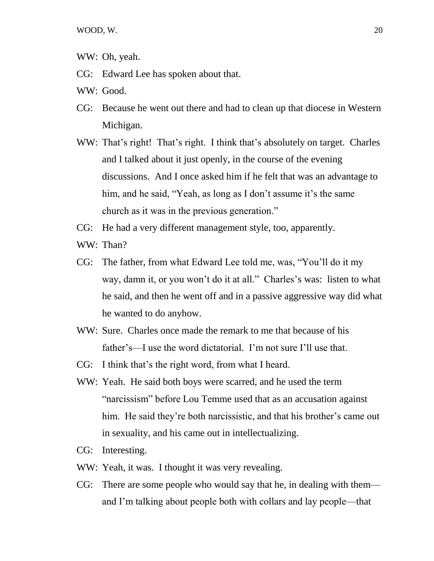WW: Oh, yeah.

- CG: Edward Lee has spoken about that.
- WW: Good.
- CG: Because he went out there and had to clean up that diocese in Western Michigan.
- WW: That's right! That's right. I think that's absolutely on target. Charles and I talked about it just openly, in the course of the evening discussions. And I once asked him if he felt that was an advantage to him, and he said, "Yeah, as long as I don't assume it's the same church as it was in the previous generation."
- CG: He had a very different management style, too, apparently.
- WW: Than?
- CG: The father, from what Edward Lee told me, was, "You'll do it my way, damn it, or you won't do it at all." Charles's was: listen to what he said, and then he went off and in a passive aggressive way did what he wanted to do anyhow.
- WW: Sure. Charles once made the remark to me that because of his father's—I use the word dictatorial. I'm not sure I'll use that.
- CG: I think that's the right word, from what I heard.
- WW: Yeah. He said both boys were scarred, and he used the term "narcissism" before Lou Temme used that as an accusation against him. He said they're both narcissistic, and that his brother's came out in sexuality, and his came out in intellectualizing.
- CG: Interesting.
- WW: Yeah, it was. I thought it was very revealing.
- CG: There are some people who would say that he, in dealing with them and I'm talking about people both with collars and lay people—that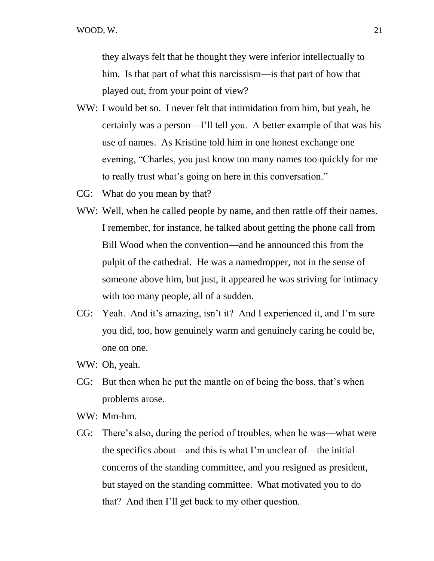they always felt that he thought they were inferior intellectually to him. Is that part of what this narcissism—is that part of how that played out, from your point of view?

- WW: I would bet so. I never felt that intimidation from him, but yeah, he certainly was a person—I'll tell you. A better example of that was his use of names. As Kristine told him in one honest exchange one evening, "Charles, you just know too many names too quickly for me to really trust what's going on here in this conversation."
- CG: What do you mean by that?
- WW: Well, when he called people by name, and then rattle off their names. I remember, for instance, he talked about getting the phone call from Bill Wood when the convention—and he announced this from the pulpit of the cathedral. He was a namedropper, not in the sense of someone above him, but just, it appeared he was striving for intimacy with too many people, all of a sudden.
- CG: Yeah. And it's amazing, isn't it? And I experienced it, and I'm sure you did, too, how genuinely warm and genuinely caring he could be, one on one.
- WW: Oh, yeah.
- CG: But then when he put the mantle on of being the boss, that's when problems arose.
- WW: Mm-hm.
- CG: There's also, during the period of troubles, when he was—what were the specifics about—and this is what I'm unclear of—the initial concerns of the standing committee, and you resigned as president, but stayed on the standing committee. What motivated you to do that? And then I'll get back to my other question.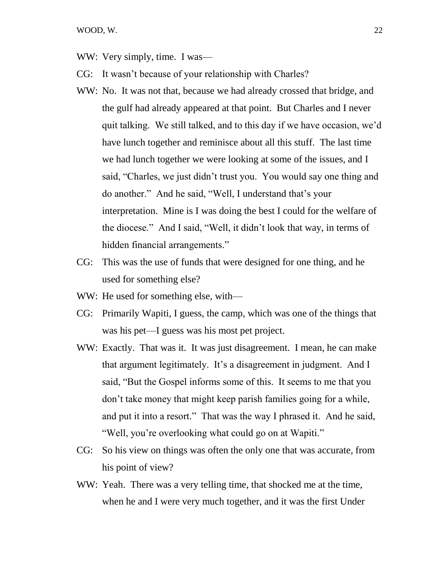- WW: Very simply, time. I was—
- CG: It wasn't because of your relationship with Charles?
- WW: No. It was not that, because we had already crossed that bridge, and the gulf had already appeared at that point. But Charles and I never quit talking. We still talked, and to this day if we have occasion, we'd have lunch together and reminisce about all this stuff. The last time we had lunch together we were looking at some of the issues, and I said, "Charles, we just didn't trust you. You would say one thing and do another." And he said, "Well, I understand that's your interpretation. Mine is I was doing the best I could for the welfare of the diocese." And I said, "Well, it didn't look that way, in terms of hidden financial arrangements."
- CG: This was the use of funds that were designed for one thing, and he used for something else?
- WW: He used for something else, with—
- CG: Primarily Wapiti, I guess, the camp, which was one of the things that was his pet—I guess was his most pet project.
- WW: Exactly. That was it. It was just disagreement. I mean, he can make that argument legitimately. It's a disagreement in judgment. And I said, "But the Gospel informs some of this. It seems to me that you don't take money that might keep parish families going for a while, and put it into a resort." That was the way I phrased it. And he said, "Well, you're overlooking what could go on at Wapiti."
- CG: So his view on things was often the only one that was accurate, from his point of view?
- WW: Yeah. There was a very telling time, that shocked me at the time, when he and I were very much together, and it was the first Under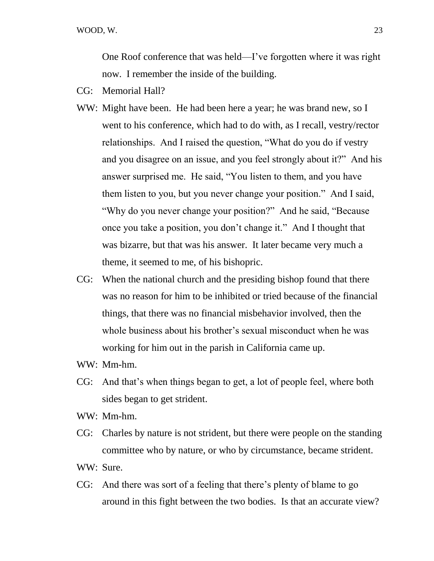One Roof conference that was held—I've forgotten where it was right now. I remember the inside of the building.

- CG: Memorial Hall?
- WW: Might have been. He had been here a year; he was brand new, so I went to his conference, which had to do with, as I recall, vestry/rector relationships. And I raised the question, "What do you do if vestry and you disagree on an issue, and you feel strongly about it?" And his answer surprised me. He said, "You listen to them, and you have them listen to you, but you never change your position." And I said, "Why do you never change your position?" And he said, "Because once you take a position, you don't change it." And I thought that was bizarre, but that was his answer. It later became very much a theme, it seemed to me, of his bishopric.
- CG: When the national church and the presiding bishop found that there was no reason for him to be inhibited or tried because of the financial things, that there was no financial misbehavior involved, then the whole business about his brother's sexual misconduct when he was working for him out in the parish in California came up.
- WW: Mm-hm.
- CG: And that's when things began to get, a lot of people feel, where both sides began to get strident.
- WW: Mm-hm.
- CG: Charles by nature is not strident, but there were people on the standing committee who by nature, or who by circumstance, became strident.
- WW: Sure.
- CG: And there was sort of a feeling that there's plenty of blame to go around in this fight between the two bodies. Is that an accurate view?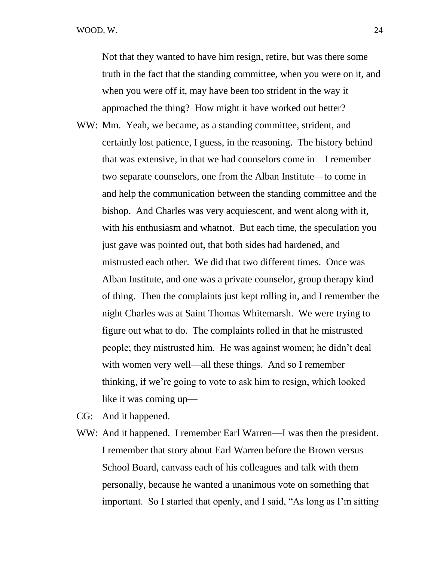WOOD, W. 24

Not that they wanted to have him resign, retire, but was there some truth in the fact that the standing committee, when you were on it, and when you were off it, may have been too strident in the way it approached the thing? How might it have worked out better?

WW: Mm. Yeah, we became, as a standing committee, strident, and certainly lost patience, I guess, in the reasoning. The history behind that was extensive, in that we had counselors come in—I remember two separate counselors, one from the Alban Institute—to come in and help the communication between the standing committee and the bishop. And Charles was very acquiescent, and went along with it, with his enthusiasm and whatnot. But each time, the speculation you just gave was pointed out, that both sides had hardened, and mistrusted each other. We did that two different times. Once was Alban Institute, and one was a private counselor, group therapy kind of thing. Then the complaints just kept rolling in, and I remember the night Charles was at Saint Thomas Whitemarsh. We were trying to figure out what to do. The complaints rolled in that he mistrusted people; they mistrusted him. He was against women; he didn't deal with women very well—all these things. And so I remember thinking, if we're going to vote to ask him to resign, which looked like it was coming up—

CG: And it happened.

WW: And it happened. I remember Earl Warren—I was then the president. I remember that story about Earl Warren before the Brown versus School Board, canvass each of his colleagues and talk with them personally, because he wanted a unanimous vote on something that important. So I started that openly, and I said, "As long as I'm sitting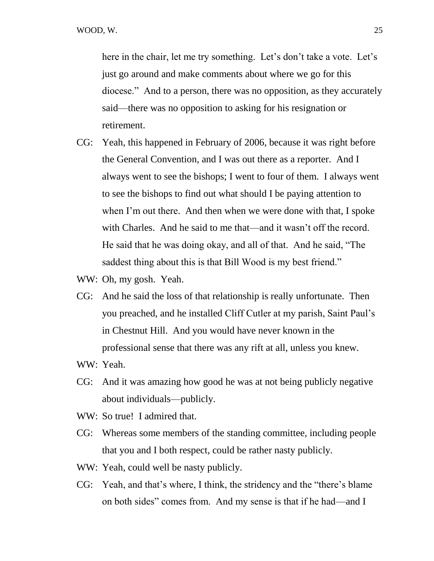here in the chair, let me try something. Let's don't take a vote. Let's just go around and make comments about where we go for this diocese." And to a person, there was no opposition, as they accurately said—there was no opposition to asking for his resignation or retirement.

- CG: Yeah, this happened in February of 2006, because it was right before the General Convention, and I was out there as a reporter. And I always went to see the bishops; I went to four of them. I always went to see the bishops to find out what should I be paying attention to when I'm out there. And then when we were done with that, I spoke with Charles. And he said to me that—and it wasn't off the record. He said that he was doing okay, and all of that. And he said, "The saddest thing about this is that Bill Wood is my best friend."
- WW: Oh, my gosh. Yeah.
- CG: And he said the loss of that relationship is really unfortunate. Then you preached, and he installed Cliff Cutler at my parish, Saint Paul's in Chestnut Hill. And you would have never known in the professional sense that there was any rift at all, unless you knew.
- WW: Yeah.
- CG: And it was amazing how good he was at not being publicly negative about individuals—publicly.
- WW: So true! I admired that.
- CG: Whereas some members of the standing committee, including people that you and I both respect, could be rather nasty publicly.
- WW: Yeah, could well be nasty publicly.
- CG: Yeah, and that's where, I think, the stridency and the "there's blame on both sides" comes from. And my sense is that if he had—and I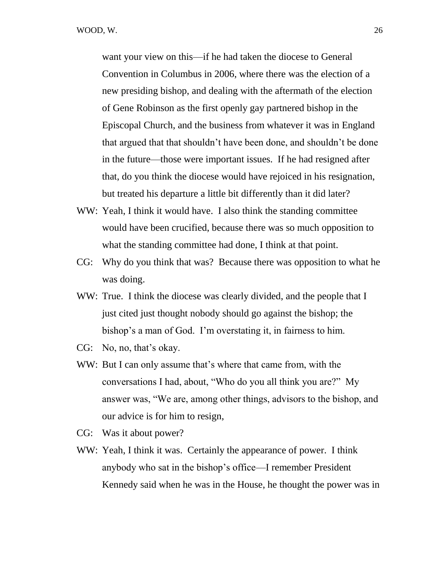want your view on this—if he had taken the diocese to General Convention in Columbus in 2006, where there was the election of a new presiding bishop, and dealing with the aftermath of the election of Gene Robinson as the first openly gay partnered bishop in the Episcopal Church, and the business from whatever it was in England that argued that that shouldn't have been done, and shouldn't be done in the future—those were important issues. If he had resigned after that, do you think the diocese would have rejoiced in his resignation, but treated his departure a little bit differently than it did later?

- WW: Yeah, I think it would have. I also think the standing committee would have been crucified, because there was so much opposition to what the standing committee had done, I think at that point.
- CG: Why do you think that was? Because there was opposition to what he was doing.
- WW: True. I think the diocese was clearly divided, and the people that I just cited just thought nobody should go against the bishop; the bishop's a man of God. I'm overstating it, in fairness to him.
- CG: No, no, that's okay.
- WW: But I can only assume that's where that came from, with the conversations I had, about, "Who do you all think you are?" My answer was, "We are, among other things, advisors to the bishop, and our advice is for him to resign,
- CG: Was it about power?
- WW: Yeah, I think it was. Certainly the appearance of power. I think anybody who sat in the bishop's office—I remember President Kennedy said when he was in the House, he thought the power was in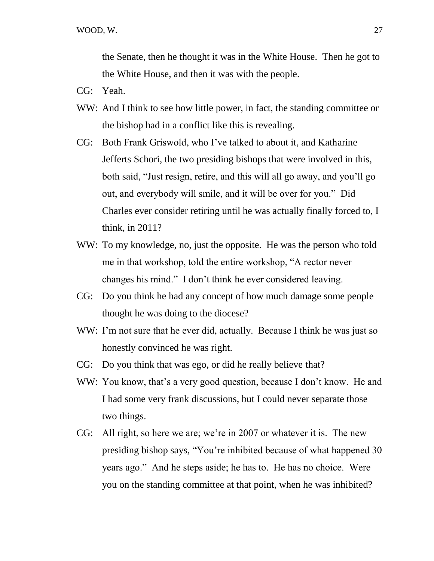the Senate, then he thought it was in the White House. Then he got to the White House, and then it was with the people.

- CG: Yeah.
- WW: And I think to see how little power, in fact, the standing committee or the bishop had in a conflict like this is revealing.
- CG: Both Frank Griswold, who I've talked to about it, and Katharine Jefferts Schori, the two presiding bishops that were involved in this, both said, "Just resign, retire, and this will all go away, and you'll go out, and everybody will smile, and it will be over for you." Did Charles ever consider retiring until he was actually finally forced to, I think, in 2011?
- WW: To my knowledge, no, just the opposite. He was the person who told me in that workshop, told the entire workshop, "A rector never changes his mind." I don't think he ever considered leaving.
- CG: Do you think he had any concept of how much damage some people thought he was doing to the diocese?
- WW: I'm not sure that he ever did, actually. Because I think he was just so honestly convinced he was right.
- CG: Do you think that was ego, or did he really believe that?
- WW: You know, that's a very good question, because I don't know. He and I had some very frank discussions, but I could never separate those two things.
- CG: All right, so here we are; we're in 2007 or whatever it is. The new presiding bishop says, "You're inhibited because of what happened 30 years ago." And he steps aside; he has to. He has no choice. Were you on the standing committee at that point, when he was inhibited?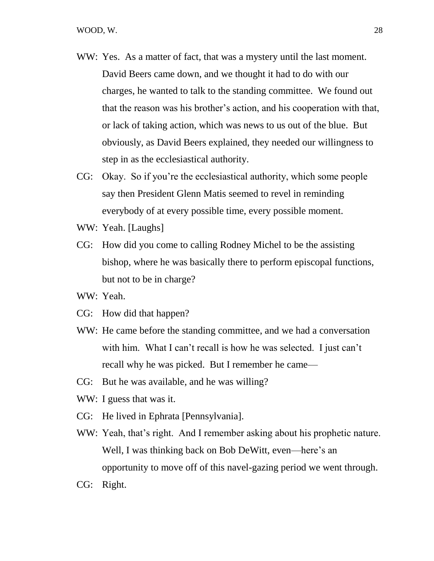- WW: Yes. As a matter of fact, that was a mystery until the last moment. David Beers came down, and we thought it had to do with our charges, he wanted to talk to the standing committee. We found out that the reason was his brother's action, and his cooperation with that, or lack of taking action, which was news to us out of the blue. But obviously, as David Beers explained, they needed our willingness to step in as the ecclesiastical authority.
- CG: Okay. So if you're the ecclesiastical authority, which some people say then President Glenn Matis seemed to revel in reminding everybody of at every possible time, every possible moment.
- WW: Yeah. [Laughs]
- CG: How did you come to calling Rodney Michel to be the assisting bishop, where he was basically there to perform episcopal functions, but not to be in charge?
- WW: Yeah.
- CG: How did that happen?
- WW: He came before the standing committee, and we had a conversation with him. What I can't recall is how he was selected. I just can't recall why he was picked. But I remember he came—
- CG: But he was available, and he was willing?
- WW: I guess that was it.
- CG: He lived in Ephrata [Pennsylvania].
- WW: Yeah, that's right. And I remember asking about his prophetic nature. Well, I was thinking back on Bob DeWitt, even—here's an opportunity to move off of this navel-gazing period we went through.
- CG: Right.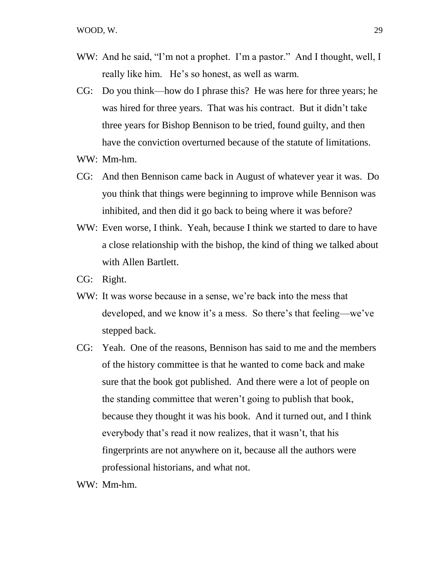- WW: And he said, "I'm not a prophet. I'm a pastor." And I thought, well, I really like him. He's so honest, as well as warm.
- CG: Do you think—how do I phrase this? He was here for three years; he was hired for three years. That was his contract. But it didn't take three years for Bishop Bennison to be tried, found guilty, and then have the conviction overturned because of the statute of limitations.
- WW: Mm-hm.
- CG: And then Bennison came back in August of whatever year it was. Do you think that things were beginning to improve while Bennison was inhibited, and then did it go back to being where it was before?
- WW: Even worse, I think. Yeah, because I think we started to dare to have a close relationship with the bishop, the kind of thing we talked about with Allen Bartlett.
- CG: Right.
- WW: It was worse because in a sense, we're back into the mess that developed, and we know it's a mess. So there's that feeling—we've stepped back.
- CG: Yeah. One of the reasons, Bennison has said to me and the members of the history committee is that he wanted to come back and make sure that the book got published. And there were a lot of people on the standing committee that weren't going to publish that book, because they thought it was his book. And it turned out, and I think everybody that's read it now realizes, that it wasn't, that his fingerprints are not anywhere on it, because all the authors were professional historians, and what not.

WW: Mm-hm.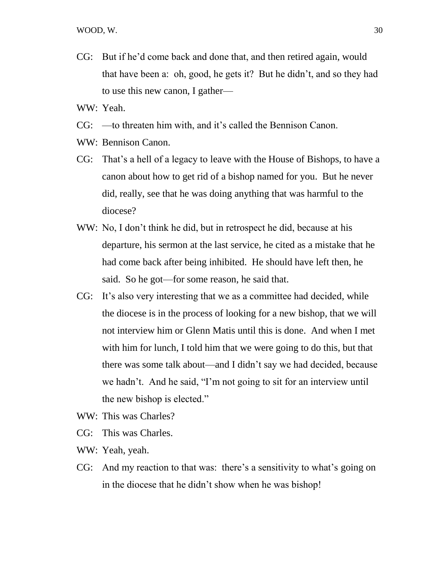- CG: But if he'd come back and done that, and then retired again, would that have been a: oh, good, he gets it? But he didn't, and so they had to use this new canon, I gather—
- WW: Yeah.
- CG: —to threaten him with, and it's called the Bennison Canon.
- WW: Bennison Canon.
- CG: That's a hell of a legacy to leave with the House of Bishops, to have a canon about how to get rid of a bishop named for you. But he never did, really, see that he was doing anything that was harmful to the diocese?
- WW: No, I don't think he did, but in retrospect he did, because at his departure, his sermon at the last service, he cited as a mistake that he had come back after being inhibited. He should have left then, he said. So he got—for some reason, he said that.
- CG: It's also very interesting that we as a committee had decided, while the diocese is in the process of looking for a new bishop, that we will not interview him or Glenn Matis until this is done. And when I met with him for lunch, I told him that we were going to do this, but that there was some talk about—and I didn't say we had decided, because we hadn't. And he said, "I'm not going to sit for an interview until the new bishop is elected."
- WW: This was Charles?
- CG: This was Charles.
- WW: Yeah, yeah.
- CG: And my reaction to that was: there's a sensitivity to what's going on in the diocese that he didn't show when he was bishop!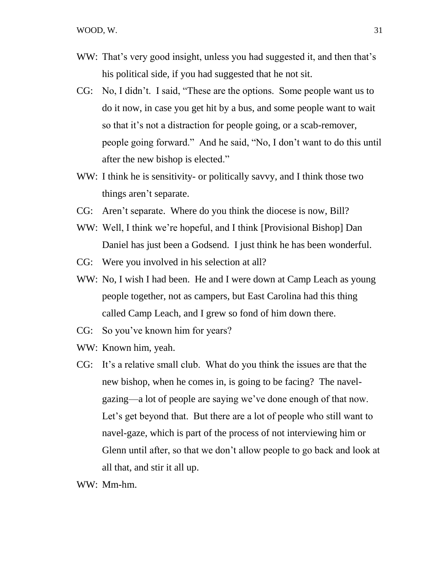- WW: That's very good insight, unless you had suggested it, and then that's his political side, if you had suggested that he not sit.
- CG: No, I didn't. I said, "These are the options. Some people want us to do it now, in case you get hit by a bus, and some people want to wait so that it's not a distraction for people going, or a scab-remover, people going forward." And he said, "No, I don't want to do this until after the new bishop is elected."
- WW: I think he is sensitivity- or politically savvy, and I think those two things aren't separate.
- CG: Aren't separate. Where do you think the diocese is now, Bill?
- WW: Well, I think we're hopeful, and I think [Provisional Bishop] Dan Daniel has just been a Godsend. I just think he has been wonderful.
- CG: Were you involved in his selection at all?
- WW: No, I wish I had been. He and I were down at Camp Leach as young people together, not as campers, but East Carolina had this thing called Camp Leach, and I grew so fond of him down there.
- CG: So you've known him for years?
- WW: Known him, yeah.
- CG: It's a relative small club. What do you think the issues are that the new bishop, when he comes in, is going to be facing? The navelgazing—a lot of people are saying we've done enough of that now. Let's get beyond that. But there are a lot of people who still want to navel-gaze, which is part of the process of not interviewing him or Glenn until after, so that we don't allow people to go back and look at all that, and stir it all up.

WW: Mm-hm.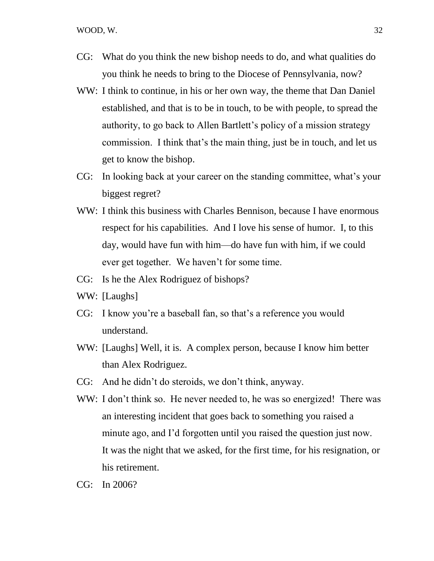- CG: What do you think the new bishop needs to do, and what qualities do you think he needs to bring to the Diocese of Pennsylvania, now?
- WW: I think to continue, in his or her own way, the theme that Dan Daniel established, and that is to be in touch, to be with people, to spread the authority, to go back to Allen Bartlett's policy of a mission strategy commission. I think that's the main thing, just be in touch, and let us get to know the bishop.
- CG: In looking back at your career on the standing committee, what's your biggest regret?
- WW: I think this business with Charles Bennison, because I have enormous respect for his capabilities. And I love his sense of humor. I, to this day, would have fun with him—do have fun with him, if we could ever get together. We haven't for some time.
- CG: Is he the Alex Rodriguez of bishops?
- WW: [Laughs]
- CG: I know you're a baseball fan, so that's a reference you would understand.
- WW: [Laughs] Well, it is. A complex person, because I know him better than Alex Rodriguez.
- CG: And he didn't do steroids, we don't think, anyway.
- WW: I don't think so. He never needed to, he was so energized! There was an interesting incident that goes back to something you raised a minute ago, and I'd forgotten until you raised the question just now. It was the night that we asked, for the first time, for his resignation, or his retirement.

CG: In 2006?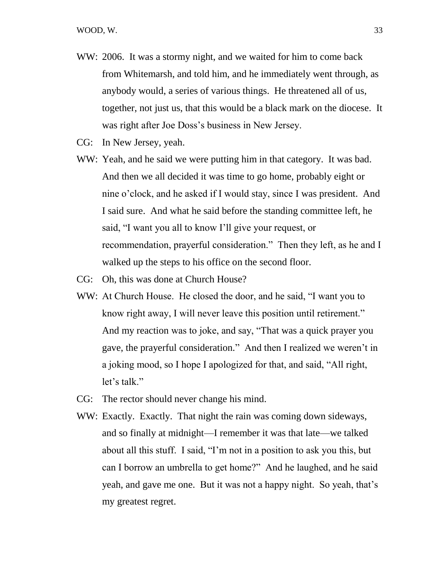- WW: 2006. It was a stormy night, and we waited for him to come back from Whitemarsh, and told him, and he immediately went through, as anybody would, a series of various things. He threatened all of us, together, not just us, that this would be a black mark on the diocese. It was right after Joe Doss's business in New Jersey.
- CG: In New Jersey, yeah.
- WW: Yeah, and he said we were putting him in that category. It was bad. And then we all decided it was time to go home, probably eight or nine o'clock, and he asked if I would stay, since I was president. And I said sure. And what he said before the standing committee left, he said, "I want you all to know I'll give your request, or recommendation, prayerful consideration." Then they left, as he and I walked up the steps to his office on the second floor.
- CG: Oh, this was done at Church House?
- WW: At Church House. He closed the door, and he said, "I want you to know right away, I will never leave this position until retirement." And my reaction was to joke, and say, "That was a quick prayer you gave, the prayerful consideration." And then I realized we weren't in a joking mood, so I hope I apologized for that, and said, "All right, let's talk."
- CG: The rector should never change his mind.
- WW: Exactly. Exactly. That night the rain was coming down sideways, and so finally at midnight—I remember it was that late—we talked about all this stuff. I said, "I'm not in a position to ask you this, but can I borrow an umbrella to get home?" And he laughed, and he said yeah, and gave me one. But it was not a happy night. So yeah, that's my greatest regret.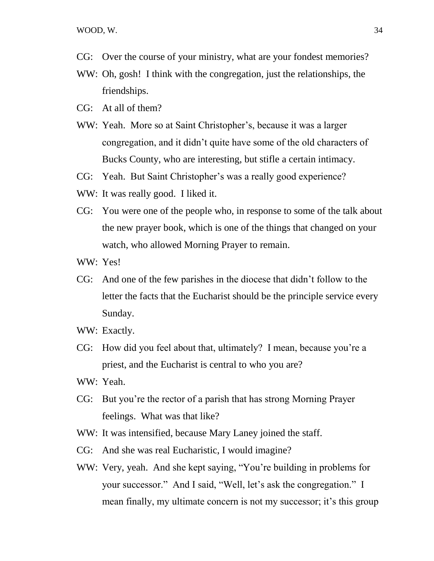WOOD, W. 34

- CG: Over the course of your ministry, what are your fondest memories?
- WW: Oh, gosh! I think with the congregation, just the relationships, the friendships.
- CG: At all of them?
- WW: Yeah. More so at Saint Christopher's, because it was a larger congregation, and it didn't quite have some of the old characters of Bucks County, who are interesting, but stifle a certain intimacy.
- CG: Yeah. But Saint Christopher's was a really good experience?
- WW: It was really good. I liked it.
- CG: You were one of the people who, in response to some of the talk about the new prayer book, which is one of the things that changed on your watch, who allowed Morning Prayer to remain.
- WW: Yes!
- CG: And one of the few parishes in the diocese that didn't follow to the letter the facts that the Eucharist should be the principle service every Sunday.
- WW: Exactly.
- CG: How did you feel about that, ultimately? I mean, because you're a priest, and the Eucharist is central to who you are?
- WW: Yeah.
- CG: But you're the rector of a parish that has strong Morning Prayer feelings. What was that like?
- WW: It was intensified, because Mary Laney joined the staff.
- CG: And she was real Eucharistic, I would imagine?
- WW: Very, yeah. And she kept saying, "You're building in problems for your successor." And I said, "Well, let's ask the congregation." I mean finally, my ultimate concern is not my successor; it's this group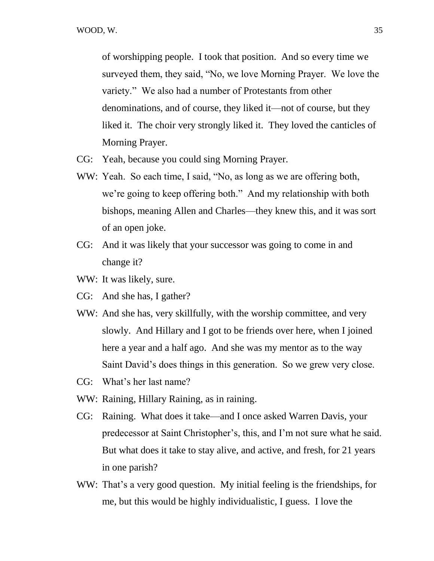of worshipping people. I took that position. And so every time we surveyed them, they said, "No, we love Morning Prayer. We love the variety." We also had a number of Protestants from other denominations, and of course, they liked it—not of course, but they liked it. The choir very strongly liked it. They loved the canticles of Morning Prayer.

- CG: Yeah, because you could sing Morning Prayer.
- WW: Yeah. So each time, I said, "No, as long as we are offering both, we're going to keep offering both." And my relationship with both bishops, meaning Allen and Charles—they knew this, and it was sort of an open joke.
- CG: And it was likely that your successor was going to come in and change it?
- WW: It was likely, sure.
- CG: And she has, I gather?
- WW: And she has, very skillfully, with the worship committee, and very slowly. And Hillary and I got to be friends over here, when I joined here a year and a half ago. And she was my mentor as to the way Saint David's does things in this generation. So we grew very close.
- CG: What's her last name?
- WW: Raining, Hillary Raining, as in raining.
- CG: Raining. What does it take—and I once asked Warren Davis, your predecessor at Saint Christopher's, this, and I'm not sure what he said. But what does it take to stay alive, and active, and fresh, for 21 years in one parish?
- WW: That's a very good question. My initial feeling is the friendships, for me, but this would be highly individualistic, I guess. I love the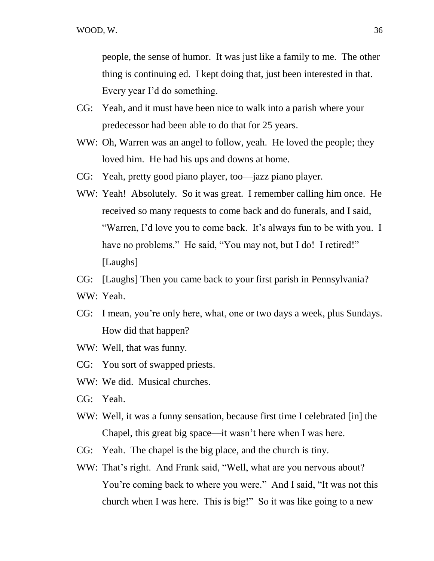people, the sense of humor. It was just like a family to me. The other thing is continuing ed. I kept doing that, just been interested in that. Every year I'd do something.

- CG: Yeah, and it must have been nice to walk into a parish where your predecessor had been able to do that for 25 years.
- WW: Oh, Warren was an angel to follow, yeah. He loved the people; they loved him. He had his ups and downs at home.
- CG: Yeah, pretty good piano player, too—jazz piano player.
- WW: Yeah! Absolutely. So it was great. I remember calling him once. He received so many requests to come back and do funerals, and I said, "Warren, I'd love you to come back. It's always fun to be with you. I have no problems." He said, "You may not, but I do! I retired!" [Laughs]
- CG: [Laughs] Then you came back to your first parish in Pennsylvania?
- WW: Yeah.
- CG: I mean, you're only here, what, one or two days a week, plus Sundays. How did that happen?
- WW: Well, that was funny.
- CG: You sort of swapped priests.
- WW: We did. Musical churches.
- CG: Yeah.
- WW: Well, it was a funny sensation, because first time I celebrated [in] the Chapel, this great big space—it wasn't here when I was here.
- CG: Yeah. The chapel is the big place, and the church is tiny.
- WW: That's right. And Frank said, "Well, what are you nervous about? You're coming back to where you were." And I said, "It was not this church when I was here. This is big!" So it was like going to a new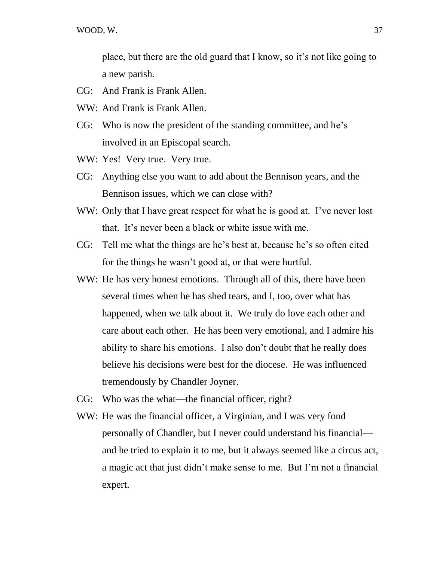place, but there are the old guard that I know, so it's not like going to a new parish.

- CG: And Frank is Frank Allen.
- WW: And Frank is Frank Allen.
- CG: Who is now the president of the standing committee, and he's involved in an Episcopal search.
- WW: Yes! Very true. Very true.
- CG: Anything else you want to add about the Bennison years, and the Bennison issues, which we can close with?
- WW: Only that I have great respect for what he is good at. I've never lost that. It's never been a black or white issue with me.
- CG: Tell me what the things are he's best at, because he's so often cited for the things he wasn't good at, or that were hurtful.
- WW: He has very honest emotions. Through all of this, there have been several times when he has shed tears, and I, too, over what has happened, when we talk about it. We truly do love each other and care about each other. He has been very emotional, and I admire his ability to share his emotions. I also don't doubt that he really does believe his decisions were best for the diocese. He was influenced tremendously by Chandler Joyner.
- CG: Who was the what—the financial officer, right?
- WW: He was the financial officer, a Virginian, and I was very fond personally of Chandler, but I never could understand his financial and he tried to explain it to me, but it always seemed like a circus act, a magic act that just didn't make sense to me. But I'm not a financial expert.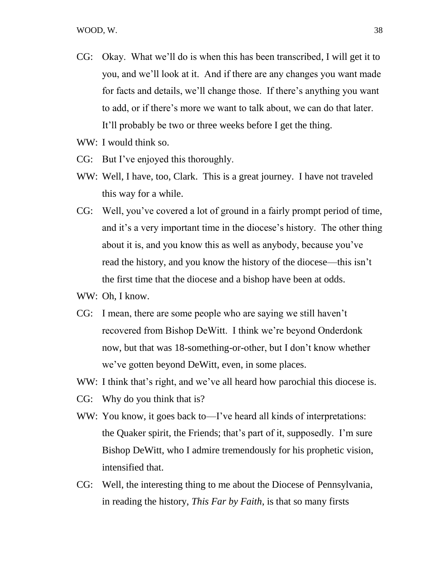- CG: Okay. What we'll do is when this has been transcribed, I will get it to you, and we'll look at it. And if there are any changes you want made for facts and details, we'll change those. If there's anything you want to add, or if there's more we want to talk about, we can do that later. It'll probably be two or three weeks before I get the thing.
- WW: I would think so.
- CG: But I've enjoyed this thoroughly.
- WW: Well, I have, too, Clark. This is a great journey. I have not traveled this way for a while.
- CG: Well, you've covered a lot of ground in a fairly prompt period of time, and it's a very important time in the diocese's history. The other thing about it is, and you know this as well as anybody, because you've read the history, and you know the history of the diocese—this isn't the first time that the diocese and a bishop have been at odds.
- WW: Oh, I know.
- CG: I mean, there are some people who are saying we still haven't recovered from Bishop DeWitt. I think we're beyond Onderdonk now, but that was 18-something-or-other, but I don't know whether we've gotten beyond DeWitt, even, in some places.
- WW: I think that's right, and we've all heard how parochial this diocese is.
- CG: Why do you think that is?
- WW: You know, it goes back to—I've heard all kinds of interpretations: the Quaker spirit, the Friends; that's part of it, supposedly. I'm sure Bishop DeWitt, who I admire tremendously for his prophetic vision, intensified that.
- CG: Well, the interesting thing to me about the Diocese of Pennsylvania, in reading the history, *This Far by Faith*, is that so many firsts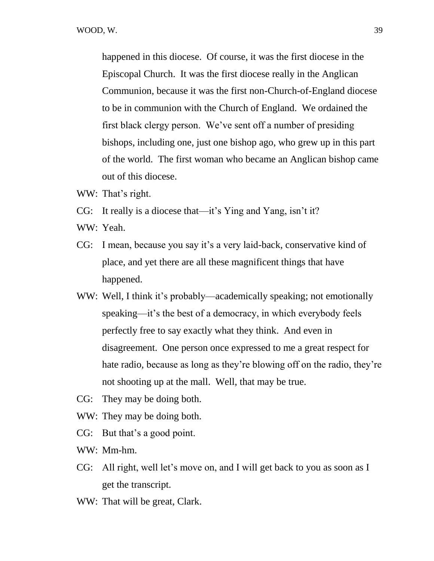happened in this diocese. Of course, it was the first diocese in the Episcopal Church. It was the first diocese really in the Anglican Communion, because it was the first non-Church-of-England diocese to be in communion with the Church of England. We ordained the first black clergy person. We've sent off a number of presiding bishops, including one, just one bishop ago, who grew up in this part of the world. The first woman who became an Anglican bishop came out of this diocese.

- WW: That's right.
- CG: It really is a diocese that—it's Ying and Yang, isn't it?
- WW: Yeah.
- CG: I mean, because you say it's a very laid-back, conservative kind of place, and yet there are all these magnificent things that have happened.
- WW: Well, I think it's probably—academically speaking; not emotionally speaking—it's the best of a democracy, in which everybody feels perfectly free to say exactly what they think. And even in disagreement. One person once expressed to me a great respect for hate radio, because as long as they're blowing off on the radio, they're not shooting up at the mall. Well, that may be true.
- CG: They may be doing both.
- WW: They may be doing both.
- CG: But that's a good point.
- WW: Mm-hm.
- CG: All right, well let's move on, and I will get back to you as soon as I get the transcript.
- WW: That will be great, Clark.